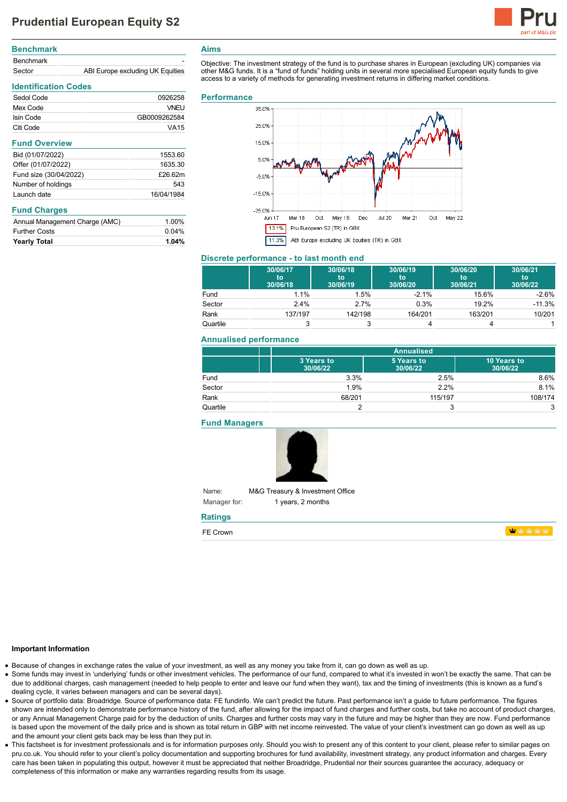

| <b>Benchmark</b> |                                  |
|------------------|----------------------------------|
| <b>Benchmark</b> |                                  |
| Sector           | ABI Europe excluding UK Equities |

## **Identification Codes** Sedol Code 0926258 Mex Code VNEU Isin Code GB0009262584 Citi Code VA15 **Fund Overview** Bid (01/07/2022) 1553.60 Offer (01/07/2022) 1635.30 Fund size (30/04/2022) £26.62m Number of holdings 543 Launch date 16/04/1984

### **Fund Charges**

| <b>Yearly Total</b>            | 1.04% |
|--------------------------------|-------|
| <b>Further Costs</b>           | 0.04% |
| Annual Management Charge (AMC) | 1.00% |

### **Aims**

Objective: The investment strategy of the fund is to purchase shares in European (excluding UK) companies via other M&G funds. It is a "fund of funds" holding units in several more specialised European equity funds to give access to a variety of methods for generating investment returns in differing market conditions.

#### **Performance**



#### **Discrete performance - to last month end**

|          | 30/06/17<br>to<br>30/06/18 | 30/06/18<br>to<br>30/06/19 | 30/06/19<br>'to<br>30/06/20 | 30/06/20<br>to<br>30/06/21 | 30/06/21<br>to<br>30/06/22 |
|----------|----------------------------|----------------------------|-----------------------------|----------------------------|----------------------------|
| Fund     | 1.1%                       | 1.5%                       | $-2.1%$                     | 15.6%                      | $-2.6%$                    |
| Sector   | 2.4%                       | 2.7%                       | 0.3%                        | 19.2%                      | $-11.3%$                   |
| Rank     | 137/197                    | 142/198                    | 164/201                     | 163/201                    | 10/201                     |
| Quartile |                            |                            |                             |                            |                            |

### **Annualised performance**

|          | <b>Annualised</b>      |                        |                         |
|----------|------------------------|------------------------|-------------------------|
|          | 3 Years to<br>30/06/22 | 5 Years to<br>30/06/22 | 10 Years to<br>30/06/22 |
| Fund     | 3.3%                   | 2.5%                   | 8.6%                    |
| Sector   | 1.9%                   | 2.2%                   | 8.1%                    |
| Rank     | 68/201                 | 115/197                | 108/174                 |
| Quartile |                        | 3                      | 3                       |

**Fund Managers**



Name: Manager for: M&G Treasury & Investment Office 1 years, 2 months

# **Ratings**

| FE Crown |
|----------|
|----------|

**haby** haby haby

#### **Important Information**

- Because of changes in exchange rates the value of your investment, as well as any money you take from it, can go down as well as up.
- Some funds may invest in 'underlying' funds or other investment vehicles. The performance of our fund, compared to what it's invested in won't be exactly the same. That can be due to additional charges, cash management (needed to help people to enter and leave our fund when they want), tax and the timing of investments (this is known as a fund's dealing cycle, it varies between managers and can be several days).
- Source of portfolio data: Broadridge. Source of performance data: FE fundinfo. We can't predict the future. Past performance isn't a guide to future performance. The figures shown are intended only to demonstrate performance history of the fund, after allowing for the impact of fund charges and further costs, but take no account of product charges, or any Annual Management Charge paid for by the deduction of units. Charges and further costs may vary in the future and may be higher than they are now. Fund performance is based upon the movement of the daily price and is shown as total return in GBP with net income reinvested. The value of your client's investment can go down as well as up and the amount your client gets back may be less than they put in.
- This factsheet is for investment professionals and is for information purposes only. Should you wish to present any of this content to your client, please refer to similar pages on pru.co.uk. You should refer to your client's policy documentation and supporting brochures for fund availability, investment strategy, any product information and charges. Every care has been taken in populating this output, however it must be appreciated that neither Broadridge, Prudential nor their sources guarantee the accuracy, adequacy or completeness of this information or make any warranties regarding results from its usage.